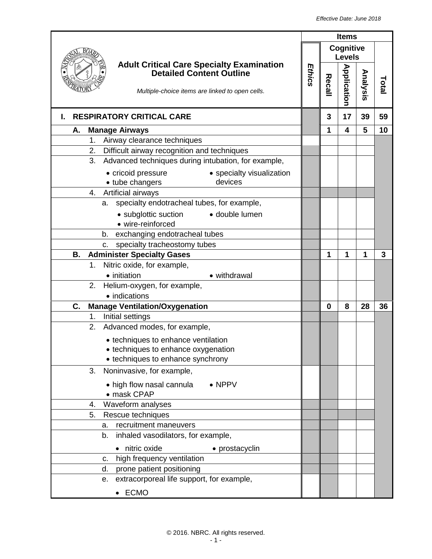|                                                                                                                                        | <b>Items</b> |          |                            |          |       |
|----------------------------------------------------------------------------------------------------------------------------------------|--------------|----------|----------------------------|----------|-------|
|                                                                                                                                        |              |          | Cognitive<br><b>Levels</b> |          |       |
| <b>Adult Critical Care Specialty Examination</b><br><b>Detailed Content Outline</b><br>Multiple-choice items are linked to open cells. | Ethics       | Recall   | <b>Application</b>         | Analysis | Total |
| <b>RESPIRATORY CRITICAL CARE</b><br>I.                                                                                                 |              | 3        | 17                         | 39       | 59    |
| <b>Manage Airways</b><br>Α.                                                                                                            |              | 1        | $\overline{\mathbf{4}}$    | 5        | 10    |
| Airway clearance techniques<br>1.                                                                                                      |              |          |                            |          |       |
| Difficult airway recognition and techniques<br>2.                                                                                      |              |          |                            |          |       |
| 3.<br>Advanced techniques during intubation, for example,                                                                              |              |          |                            |          |       |
| • specialty visualization<br>• cricoid pressure                                                                                        |              |          |                            |          |       |
| devices<br>• tube changers                                                                                                             |              |          |                            |          |       |
| 4. Artificial airways                                                                                                                  |              |          |                            |          |       |
| specialty endotracheal tubes, for example,<br>а.                                                                                       |              |          |                            |          |       |
| • subglottic suction<br>· double lumen<br>• wire-reinforced                                                                            |              |          |                            |          |       |
| exchanging endotracheal tubes<br>b.                                                                                                    |              |          |                            |          |       |
| specialty tracheostomy tubes<br>c.                                                                                                     |              |          |                            |          |       |
| <b>Administer Specialty Gases</b><br>В.                                                                                                |              | 1        | 1                          | 1        | 3     |
| Nitric oxide, for example,<br>$1_{\cdot}$                                                                                              |              |          |                            |          |       |
| • initiation<br>• withdrawal                                                                                                           |              |          |                            |          |       |
| 2. Helium-oxygen, for example,                                                                                                         |              |          |                            |          |       |
| • indications                                                                                                                          |              |          |                            |          |       |
| <b>Manage Ventilation/Oxygenation</b><br>C.                                                                                            |              | $\bf{0}$ | 8                          | 28       | 36    |
| Initial settings<br>1.                                                                                                                 |              |          |                            |          |       |
| Advanced modes, for example,<br>2.                                                                                                     |              |          |                            |          |       |
| • techniques to enhance ventilation                                                                                                    |              |          |                            |          |       |
| techniques to enhance oxygenation                                                                                                      |              |          |                            |          |       |
| • techniques to enhance synchrony                                                                                                      |              |          |                            |          |       |
| Noninvasive, for example,<br>3.                                                                                                        |              |          |                            |          |       |
| • high flow nasal cannula<br>$\bullet$ NPPV<br>• mask CPAP                                                                             |              |          |                            |          |       |
| Waveform analyses<br>4.                                                                                                                |              |          |                            |          |       |
| 5.<br>Rescue techniques                                                                                                                |              |          |                            |          |       |
| recruitment maneuvers<br>а.                                                                                                            |              |          |                            |          |       |
| b.<br>inhaled vasodilators, for example,                                                                                               |              |          |                            |          |       |
| • nitric oxide<br>• prostacyclin                                                                                                       |              |          |                            |          |       |
| high frequency ventilation<br>C.                                                                                                       |              |          |                            |          |       |
| prone patient positioning<br>d.                                                                                                        |              |          |                            |          |       |
| extracorporeal life support, for example,<br>е.                                                                                        |              |          |                            |          |       |
| • ECMO                                                                                                                                 |              |          |                            |          |       |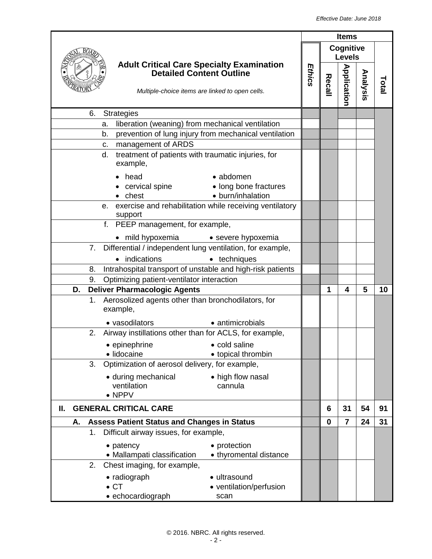| Cognitive<br><b>Levels</b><br><b>Adult Critical Care Specialty Examination</b><br><b>Application</b><br>Ethics<br><b>Detailed Content Outline</b><br>Analysis<br>Recall<br>Total<br>Multiple-choice items are linked to open cells.<br>6.<br><b>Strategies</b><br>liberation (weaning) from mechanical ventilation<br>a.<br>prevention of lung injury from mechanical ventilation<br>b.<br>management of ARDS<br>C.<br>treatment of patients with traumatic injuries, for<br>d.<br>example,<br>head<br>• abdomen<br>cervical spine<br>• long bone fractures<br>• burn/inhalation<br>chest<br>e. exercise and rehabilitation while receiving ventilatory<br>support<br>f. PEEP management, for example,<br>mild hypoxemia • severe hypoxemia<br>$\bullet$<br>7. Differential / independent lung ventilation, for example,<br>indications<br>• techniques<br>Intrahospital transport of unstable and high-risk patients<br>8.<br>Optimizing patient-ventilator interaction<br>9.<br><b>Deliver Pharmacologic Agents</b><br>5<br>D.<br>1<br>10<br>4<br>Aerosolized agents other than bronchodilators, for<br>1.<br>example,<br>• vasodilators<br>• antimicrobials<br>Airway instillations other than for ACLS, for example,<br>2.<br>• cold saline<br>• epinephrine<br>· lidocaine<br>• topical thrombin<br>Optimization of aerosol delivery, for example,<br>3.<br>• during mechanical<br>• high flow nasal<br>ventilation<br>cannula<br>$\bullet$ NPPV<br><b>GENERAL CRITICAL CARE</b><br>31<br>54<br>91<br>6<br>Ш.<br>31<br><b>Assess Patient Status and Changes in Status</b><br>$\mathbf 0$<br>$\overline{7}$<br>24<br>Α.<br>Difficult airway issues, for example,<br>$1_{\cdot}$<br>• protection<br>• patency<br>• Mallampati classification<br>• thyromental distance<br>Chest imaging, for example,<br>2.<br>• radiograph<br>· ultrasound<br>$\bullet$ CT<br>• ventilation/perfusion |                   | <b>Items</b> |  |  |  |  |
|-------------------------------------------------------------------------------------------------------------------------------------------------------------------------------------------------------------------------------------------------------------------------------------------------------------------------------------------------------------------------------------------------------------------------------------------------------------------------------------------------------------------------------------------------------------------------------------------------------------------------------------------------------------------------------------------------------------------------------------------------------------------------------------------------------------------------------------------------------------------------------------------------------------------------------------------------------------------------------------------------------------------------------------------------------------------------------------------------------------------------------------------------------------------------------------------------------------------------------------------------------------------------------------------------------------------------------------------------------------------------------------------------------------------------------------------------------------------------------------------------------------------------------------------------------------------------------------------------------------------------------------------------------------------------------------------------------------------------------------------------------------------------------------------------------------------------------------------------------------------------------------------|-------------------|--------------|--|--|--|--|
|                                                                                                                                                                                                                                                                                                                                                                                                                                                                                                                                                                                                                                                                                                                                                                                                                                                                                                                                                                                                                                                                                                                                                                                                                                                                                                                                                                                                                                                                                                                                                                                                                                                                                                                                                                                                                                                                                           |                   |              |  |  |  |  |
|                                                                                                                                                                                                                                                                                                                                                                                                                                                                                                                                                                                                                                                                                                                                                                                                                                                                                                                                                                                                                                                                                                                                                                                                                                                                                                                                                                                                                                                                                                                                                                                                                                                                                                                                                                                                                                                                                           |                   |              |  |  |  |  |
|                                                                                                                                                                                                                                                                                                                                                                                                                                                                                                                                                                                                                                                                                                                                                                                                                                                                                                                                                                                                                                                                                                                                                                                                                                                                                                                                                                                                                                                                                                                                                                                                                                                                                                                                                                                                                                                                                           |                   |              |  |  |  |  |
|                                                                                                                                                                                                                                                                                                                                                                                                                                                                                                                                                                                                                                                                                                                                                                                                                                                                                                                                                                                                                                                                                                                                                                                                                                                                                                                                                                                                                                                                                                                                                                                                                                                                                                                                                                                                                                                                                           |                   |              |  |  |  |  |
|                                                                                                                                                                                                                                                                                                                                                                                                                                                                                                                                                                                                                                                                                                                                                                                                                                                                                                                                                                                                                                                                                                                                                                                                                                                                                                                                                                                                                                                                                                                                                                                                                                                                                                                                                                                                                                                                                           |                   |              |  |  |  |  |
|                                                                                                                                                                                                                                                                                                                                                                                                                                                                                                                                                                                                                                                                                                                                                                                                                                                                                                                                                                                                                                                                                                                                                                                                                                                                                                                                                                                                                                                                                                                                                                                                                                                                                                                                                                                                                                                                                           |                   |              |  |  |  |  |
|                                                                                                                                                                                                                                                                                                                                                                                                                                                                                                                                                                                                                                                                                                                                                                                                                                                                                                                                                                                                                                                                                                                                                                                                                                                                                                                                                                                                                                                                                                                                                                                                                                                                                                                                                                                                                                                                                           |                   |              |  |  |  |  |
|                                                                                                                                                                                                                                                                                                                                                                                                                                                                                                                                                                                                                                                                                                                                                                                                                                                                                                                                                                                                                                                                                                                                                                                                                                                                                                                                                                                                                                                                                                                                                                                                                                                                                                                                                                                                                                                                                           |                   |              |  |  |  |  |
|                                                                                                                                                                                                                                                                                                                                                                                                                                                                                                                                                                                                                                                                                                                                                                                                                                                                                                                                                                                                                                                                                                                                                                                                                                                                                                                                                                                                                                                                                                                                                                                                                                                                                                                                                                                                                                                                                           |                   |              |  |  |  |  |
|                                                                                                                                                                                                                                                                                                                                                                                                                                                                                                                                                                                                                                                                                                                                                                                                                                                                                                                                                                                                                                                                                                                                                                                                                                                                                                                                                                                                                                                                                                                                                                                                                                                                                                                                                                                                                                                                                           |                   |              |  |  |  |  |
|                                                                                                                                                                                                                                                                                                                                                                                                                                                                                                                                                                                                                                                                                                                                                                                                                                                                                                                                                                                                                                                                                                                                                                                                                                                                                                                                                                                                                                                                                                                                                                                                                                                                                                                                                                                                                                                                                           |                   |              |  |  |  |  |
|                                                                                                                                                                                                                                                                                                                                                                                                                                                                                                                                                                                                                                                                                                                                                                                                                                                                                                                                                                                                                                                                                                                                                                                                                                                                                                                                                                                                                                                                                                                                                                                                                                                                                                                                                                                                                                                                                           |                   |              |  |  |  |  |
|                                                                                                                                                                                                                                                                                                                                                                                                                                                                                                                                                                                                                                                                                                                                                                                                                                                                                                                                                                                                                                                                                                                                                                                                                                                                                                                                                                                                                                                                                                                                                                                                                                                                                                                                                                                                                                                                                           |                   |              |  |  |  |  |
|                                                                                                                                                                                                                                                                                                                                                                                                                                                                                                                                                                                                                                                                                                                                                                                                                                                                                                                                                                                                                                                                                                                                                                                                                                                                                                                                                                                                                                                                                                                                                                                                                                                                                                                                                                                                                                                                                           |                   |              |  |  |  |  |
|                                                                                                                                                                                                                                                                                                                                                                                                                                                                                                                                                                                                                                                                                                                                                                                                                                                                                                                                                                                                                                                                                                                                                                                                                                                                                                                                                                                                                                                                                                                                                                                                                                                                                                                                                                                                                                                                                           |                   |              |  |  |  |  |
|                                                                                                                                                                                                                                                                                                                                                                                                                                                                                                                                                                                                                                                                                                                                                                                                                                                                                                                                                                                                                                                                                                                                                                                                                                                                                                                                                                                                                                                                                                                                                                                                                                                                                                                                                                                                                                                                                           |                   |              |  |  |  |  |
|                                                                                                                                                                                                                                                                                                                                                                                                                                                                                                                                                                                                                                                                                                                                                                                                                                                                                                                                                                                                                                                                                                                                                                                                                                                                                                                                                                                                                                                                                                                                                                                                                                                                                                                                                                                                                                                                                           |                   |              |  |  |  |  |
|                                                                                                                                                                                                                                                                                                                                                                                                                                                                                                                                                                                                                                                                                                                                                                                                                                                                                                                                                                                                                                                                                                                                                                                                                                                                                                                                                                                                                                                                                                                                                                                                                                                                                                                                                                                                                                                                                           |                   |              |  |  |  |  |
|                                                                                                                                                                                                                                                                                                                                                                                                                                                                                                                                                                                                                                                                                                                                                                                                                                                                                                                                                                                                                                                                                                                                                                                                                                                                                                                                                                                                                                                                                                                                                                                                                                                                                                                                                                                                                                                                                           |                   |              |  |  |  |  |
|                                                                                                                                                                                                                                                                                                                                                                                                                                                                                                                                                                                                                                                                                                                                                                                                                                                                                                                                                                                                                                                                                                                                                                                                                                                                                                                                                                                                                                                                                                                                                                                                                                                                                                                                                                                                                                                                                           |                   |              |  |  |  |  |
|                                                                                                                                                                                                                                                                                                                                                                                                                                                                                                                                                                                                                                                                                                                                                                                                                                                                                                                                                                                                                                                                                                                                                                                                                                                                                                                                                                                                                                                                                                                                                                                                                                                                                                                                                                                                                                                                                           |                   |              |  |  |  |  |
|                                                                                                                                                                                                                                                                                                                                                                                                                                                                                                                                                                                                                                                                                                                                                                                                                                                                                                                                                                                                                                                                                                                                                                                                                                                                                                                                                                                                                                                                                                                                                                                                                                                                                                                                                                                                                                                                                           |                   |              |  |  |  |  |
|                                                                                                                                                                                                                                                                                                                                                                                                                                                                                                                                                                                                                                                                                                                                                                                                                                                                                                                                                                                                                                                                                                                                                                                                                                                                                                                                                                                                                                                                                                                                                                                                                                                                                                                                                                                                                                                                                           |                   |              |  |  |  |  |
|                                                                                                                                                                                                                                                                                                                                                                                                                                                                                                                                                                                                                                                                                                                                                                                                                                                                                                                                                                                                                                                                                                                                                                                                                                                                                                                                                                                                                                                                                                                                                                                                                                                                                                                                                                                                                                                                                           |                   |              |  |  |  |  |
|                                                                                                                                                                                                                                                                                                                                                                                                                                                                                                                                                                                                                                                                                                                                                                                                                                                                                                                                                                                                                                                                                                                                                                                                                                                                                                                                                                                                                                                                                                                                                                                                                                                                                                                                                                                                                                                                                           |                   |              |  |  |  |  |
|                                                                                                                                                                                                                                                                                                                                                                                                                                                                                                                                                                                                                                                                                                                                                                                                                                                                                                                                                                                                                                                                                                                                                                                                                                                                                                                                                                                                                                                                                                                                                                                                                                                                                                                                                                                                                                                                                           |                   |              |  |  |  |  |
|                                                                                                                                                                                                                                                                                                                                                                                                                                                                                                                                                                                                                                                                                                                                                                                                                                                                                                                                                                                                                                                                                                                                                                                                                                                                                                                                                                                                                                                                                                                                                                                                                                                                                                                                                                                                                                                                                           |                   |              |  |  |  |  |
|                                                                                                                                                                                                                                                                                                                                                                                                                                                                                                                                                                                                                                                                                                                                                                                                                                                                                                                                                                                                                                                                                                                                                                                                                                                                                                                                                                                                                                                                                                                                                                                                                                                                                                                                                                                                                                                                                           |                   |              |  |  |  |  |
|                                                                                                                                                                                                                                                                                                                                                                                                                                                                                                                                                                                                                                                                                                                                                                                                                                                                                                                                                                                                                                                                                                                                                                                                                                                                                                                                                                                                                                                                                                                                                                                                                                                                                                                                                                                                                                                                                           |                   |              |  |  |  |  |
|                                                                                                                                                                                                                                                                                                                                                                                                                                                                                                                                                                                                                                                                                                                                                                                                                                                                                                                                                                                                                                                                                                                                                                                                                                                                                                                                                                                                                                                                                                                                                                                                                                                                                                                                                                                                                                                                                           |                   |              |  |  |  |  |
|                                                                                                                                                                                                                                                                                                                                                                                                                                                                                                                                                                                                                                                                                                                                                                                                                                                                                                                                                                                                                                                                                                                                                                                                                                                                                                                                                                                                                                                                                                                                                                                                                                                                                                                                                                                                                                                                                           |                   |              |  |  |  |  |
| scan                                                                                                                                                                                                                                                                                                                                                                                                                                                                                                                                                                                                                                                                                                                                                                                                                                                                                                                                                                                                                                                                                                                                                                                                                                                                                                                                                                                                                                                                                                                                                                                                                                                                                                                                                                                                                                                                                      | • echocardiograph |              |  |  |  |  |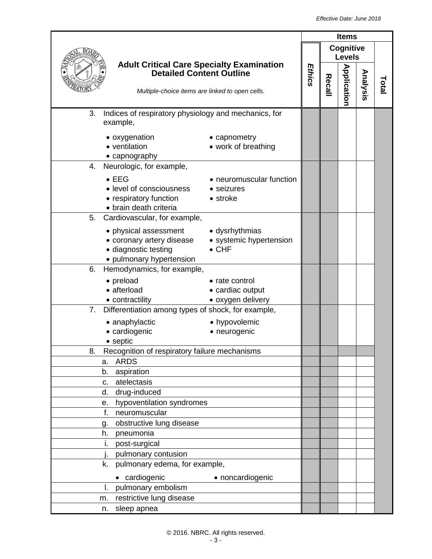|                                                                                                                                                                                                                                                                                                            |                                                                                                                                           |                                                            | <b>Items</b> |        |                            |          |       |
|------------------------------------------------------------------------------------------------------------------------------------------------------------------------------------------------------------------------------------------------------------------------------------------------------------|-------------------------------------------------------------------------------------------------------------------------------------------|------------------------------------------------------------|--------------|--------|----------------------------|----------|-------|
|                                                                                                                                                                                                                                                                                                            |                                                                                                                                           |                                                            |              |        | Cognitive<br><b>Levels</b> |          |       |
|                                                                                                                                                                                                                                                                                                            | <b>Adult Critical Care Specialty Examination</b><br><b>Detailed Content Outline</b><br>Multiple-choice items are linked to open cells.    |                                                            |              | Recall | Application                | Analysis | Total |
| 3.                                                                                                                                                                                                                                                                                                         | Indices of respiratory physiology and mechanics, for<br>example,                                                                          |                                                            |              |        |                            |          |       |
|                                                                                                                                                                                                                                                                                                            | • oxygenation<br>• ventilation<br>• capnography                                                                                           | • capnometry<br>• work of breathing                        |              |        |                            |          |       |
| 4.                                                                                                                                                                                                                                                                                                         | Neurologic, for example,<br>$\bullet$ EEG<br>• level of consciousness<br>• respiratory function<br>• brain death criteria                 | • neuromuscular function<br>• seizures<br>• stroke         |              |        |                            |          |       |
|                                                                                                                                                                                                                                                                                                            | 5. Cardiovascular, for example,<br>• physical assessment<br>• coronary artery disease<br>· diagnostic testing<br>• pulmonary hypertension | • dysrhythmias<br>• systemic hypertension<br>$\bullet$ CHF |              |        |                            |          |       |
| 6.                                                                                                                                                                                                                                                                                                         | Hemodynamics, for example,<br>• preload<br>• afterload<br>• contractility                                                                 | • rate control<br>• cardiac output<br>• oxygen delivery    |              |        |                            |          |       |
| 7.                                                                                                                                                                                                                                                                                                         | Differentiation among types of shock, for example,<br>• anaphylactic<br>• cardiogenic<br>• septic                                         | • hypovolemic<br>• neurogenic                              |              |        |                            |          |       |
| Recognition of respiratory failure mechanisms<br>୪.<br><b>ARDS</b><br>a.<br>aspiration<br>b.<br>atelectasis<br>c.<br>drug-induced<br>d.<br>hypoventilation syndromes<br>е.<br>f.<br>neuromuscular<br>obstructive lung disease<br>g.<br>pneumonia<br>h.<br>post-surgical<br>i.<br>pulmonary contusion<br>İ. |                                                                                                                                           |                                                            |              |        |                            |          |       |
| k.<br>I.<br>m.<br>n.                                                                                                                                                                                                                                                                                       | pulmonary edema, for example,<br>• cardiogenic<br>pulmonary embolism<br>restrictive lung disease<br>sleep apnea                           | • noncardiogenic                                           |              |        |                            |          |       |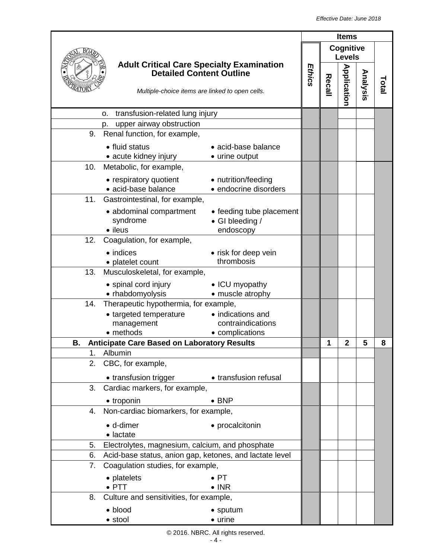|                                                          |                                                                                                                                        | <b>Items</b> |        |                            |          |      |
|----------------------------------------------------------|----------------------------------------------------------------------------------------------------------------------------------------|--------------|--------|----------------------------|----------|------|
|                                                          |                                                                                                                                        |              |        | Cognitive<br><b>Levels</b> |          |      |
|                                                          | <b>Adult Critical Care Specialty Examination</b><br><b>Detailed Content Outline</b><br>Multiple-choice items are linked to open cells. | Ethics       | Recall | <b>Application</b>         | Analysis | Tota |
| transfusion-related lung injury<br>0.                    |                                                                                                                                        |              |        |                            |          |      |
| upper airway obstruction<br>p.                           |                                                                                                                                        |              |        |                            |          |      |
| Renal function, for example,<br>9.                       |                                                                                                                                        |              |        |                            |          |      |
| • fluid status<br>• acute kidney injury                  | • acid-base balance<br>• urine output                                                                                                  |              |        |                            |          |      |
| 10.<br>Metabolic, for example,                           |                                                                                                                                        |              |        |                            |          |      |
| • respiratory quotient<br>· acid-base balance            | • nutrition/feeding<br>• endocrine disorders                                                                                           |              |        |                            |          |      |
| 11.<br>Gastrointestinal, for example,                    |                                                                                                                                        |              |        |                            |          |      |
| • abdominal compartment<br>syndrome<br>• ileus           | • feeding tube placement<br>• GI bleeding /<br>endoscopy                                                                               |              |        |                            |          |      |
| Coagulation, for example,<br>12.                         |                                                                                                                                        |              |        |                            |          |      |
| $\bullet$ indices                                        | • risk for deep vein                                                                                                                   |              |        |                            |          |      |
| • platelet count                                         | thrombosis                                                                                                                             |              |        |                            |          |      |
| 13.<br>Musculoskeletal, for example,                     |                                                                                                                                        |              |        |                            |          |      |
| • spinal cord injury                                     | • ICU myopathy                                                                                                                         |              |        |                            |          |      |
| • rhabdomyolysis                                         | • muscle atrophy                                                                                                                       |              |        |                            |          |      |
| Therapeutic hypothermia, for example,<br>14.             |                                                                                                                                        |              |        |                            |          |      |
| • targeted temperature                                   | • indications and                                                                                                                      |              |        |                            |          |      |
| management                                               | contraindications                                                                                                                      |              |        |                            |          |      |
| • methods                                                | • complications                                                                                                                        |              |        |                            |          |      |
| <b>Anticipate Care Based on Laboratory Results</b><br>В. |                                                                                                                                        |              | 1      | $\overline{2}$             | 5        | 8    |
| Albumin<br>1 <sub>1</sub>                                |                                                                                                                                        |              |        |                            |          |      |
| CBC, for example,<br>2.                                  |                                                                                                                                        |              |        |                            |          |      |
|                                                          | • transfusion trigger • transfusion refusal                                                                                            |              |        |                            |          |      |
| Cardiac markers, for example,<br>3.                      |                                                                                                                                        |              |        |                            |          |      |
| • troponin                                               | $\bullet$ BNP                                                                                                                          |              |        |                            |          |      |
| Non-cardiac biomarkers, for example,<br>4.               |                                                                                                                                        |              |        |                            |          |      |
| · d-dimer                                                | • procalcitonin                                                                                                                        |              |        |                            |          |      |
| • lactate                                                |                                                                                                                                        |              |        |                            |          |      |
| 5.                                                       | Electrolytes, magnesium, calcium, and phosphate                                                                                        |              |        |                            |          |      |
| 6.                                                       | Acid-base status, anion gap, ketones, and lactate level                                                                                |              |        |                            |          |      |
| Coagulation studies, for example,<br>7.                  |                                                                                                                                        |              |        |                            |          |      |
| • platelets                                              | $\bullet$ PT                                                                                                                           |              |        |                            |          |      |
| $\bullet$ PTT                                            | $\bullet$ INR                                                                                                                          |              |        |                            |          |      |
| Culture and sensitivities, for example,<br>8.            |                                                                                                                                        |              |        |                            |          |      |
| · blood                                                  | • sputum                                                                                                                               |              |        |                            |          |      |
| • stool                                                  | • urine                                                                                                                                |              |        |                            |          |      |

## © 2016. NBRC. All rights reserved.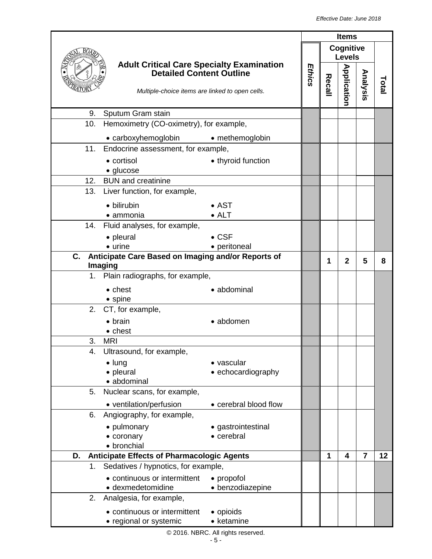|     |                                                                                                                                        |                                | <b>Items</b> |   |                            |                |       |
|-----|----------------------------------------------------------------------------------------------------------------------------------------|--------------------------------|--------------|---|----------------------------|----------------|-------|
|     |                                                                                                                                        |                                | Ethics       |   | Cognitive<br><b>Levels</b> |                |       |
|     | <b>Adult Critical Care Specialty Examination</b><br><b>Detailed Content Outline</b><br>Multiple-choice items are linked to open cells. |                                |              |   |                            | Analysis       | Total |
| 9.  | Sputum Gram stain                                                                                                                      |                                |              |   |                            |                |       |
| 10. | Hemoximetry (CO-oximetry), for example,                                                                                                |                                |              |   |                            |                |       |
|     | • carboxyhemoglobin                                                                                                                    | • methemoglobin                |              |   |                            |                |       |
| 11. | Endocrine assessment, for example,                                                                                                     |                                |              |   |                            |                |       |
|     | • cortisol                                                                                                                             | • thyroid function             |              |   |                            |                |       |
|     | • glucose                                                                                                                              |                                |              |   |                            |                |       |
| 12. | <b>BUN</b> and creatinine                                                                                                              |                                |              |   |                            |                |       |
| 13. | Liver function, for example,                                                                                                           |                                |              |   |                            |                |       |
|     | • bilirubin                                                                                                                            | $\bullet$ AST                  |              |   |                            |                |       |
|     | • ammonia<br>Fluid analyses, for example,                                                                                              | $\bullet$ ALT                  |              |   |                            |                |       |
| 14. |                                                                                                                                        | $\bullet$ CSF                  |              |   |                            |                |       |
|     | • pleural<br>$\bullet$ urine                                                                                                           | • peritoneal                   |              |   |                            |                |       |
| C.  | Anticipate Care Based on Imaging and/or Reports of                                                                                     |                                |              |   |                            |                |       |
|     | Imaging                                                                                                                                |                                |              | 1 | $\mathbf{2}$               | 5              | 8     |
|     | 1. Plain radiographs, for example,                                                                                                     |                                |              |   |                            |                |       |
|     | $\bullet$ chest<br>$\bullet$ spine                                                                                                     | • abdominal                    |              |   |                            |                |       |
| 2.  | CT, for example,                                                                                                                       |                                |              |   |                            |                |       |
|     | $\bullet$ brain<br>• chest                                                                                                             | • abdomen                      |              |   |                            |                |       |
| 3.  | <b>MRI</b>                                                                                                                             |                                |              |   |                            |                |       |
| 4.  | Ultrasound, for example,                                                                                                               |                                |              |   |                            |                |       |
|     | $\bullet$ lung                                                                                                                         | • vascular                     |              |   |                            |                |       |
|     | • pleural<br>· abdominal                                                                                                               | • echocardiography             |              |   |                            |                |       |
| 5.  | Nuclear scans, for example,                                                                                                            |                                |              |   |                            |                |       |
|     | • ventilation/perfusion                                                                                                                | • cerebral blood flow          |              |   |                            |                |       |
| 6.  | Angiography, for example,                                                                                                              |                                |              |   |                            |                |       |
|     | • pulmonary                                                                                                                            | • gastrointestinal             |              |   |                            |                |       |
|     | • coronary<br>• bronchial                                                                                                              | • cerebral                     |              |   |                            |                |       |
| D.  | <b>Anticipate Effects of Pharmacologic Agents</b>                                                                                      |                                |              | 1 | 4                          | $\overline{7}$ | 12    |
| 1.  | Sedatives / hypnotics, for example,                                                                                                    |                                |              |   |                            |                |       |
|     | • continuous or intermittent<br>· dexmedetomidine                                                                                      | • propofol<br>• benzodiazepine |              |   |                            |                |       |
| 2.  | Analgesia, for example,                                                                                                                |                                |              |   |                            |                |       |
|     | • continuous or intermittent<br>• regional or systemic                                                                                 | • opioids<br>• ketamine        |              |   |                            |                |       |

© 2016. NBRC. All rights reserved.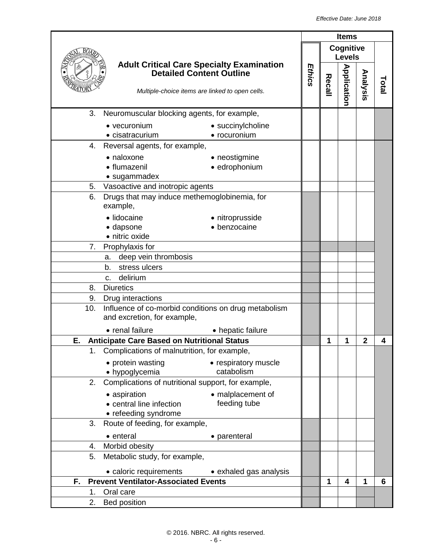|     |                                                                                                                                        |                                    |  |   | <b>Items</b>               |                |       |
|-----|----------------------------------------------------------------------------------------------------------------------------------------|------------------------------------|--|---|----------------------------|----------------|-------|
|     |                                                                                                                                        |                                    |  |   | Cognitive<br><b>Levels</b> |                |       |
|     | <b>Adult Critical Care Specialty Examination</b><br><b>Detailed Content Outline</b><br>Multiple-choice items are linked to open cells. |                                    |  |   | <b>Application</b>         | Analysis       | Total |
| 3.  | Neuromuscular blocking agents, for example,                                                                                            |                                    |  |   |                            |                |       |
|     | • vecuronium                                                                                                                           | • succinylcholine                  |  |   |                            |                |       |
|     | • cisatracurium                                                                                                                        | • rocuronium                       |  |   |                            |                |       |
| 4.  | Reversal agents, for example,                                                                                                          |                                    |  |   |                            |                |       |
|     | • naloxone                                                                                                                             | • neostigmine                      |  |   |                            |                |       |
|     | • flumazenil                                                                                                                           | · edrophonium                      |  |   |                            |                |       |
|     | • sugammadex                                                                                                                           |                                    |  |   |                            |                |       |
| 5.  | Vasoactive and inotropic agents                                                                                                        |                                    |  |   |                            |                |       |
| 6.  | Drugs that may induce methemoglobinemia, for<br>example,                                                                               |                                    |  |   |                            |                |       |
|     | · lidocaine                                                                                                                            | • nitroprusside                    |  |   |                            |                |       |
|     | · dapsone                                                                                                                              | · benzocaine                       |  |   |                            |                |       |
|     | · nitric oxide                                                                                                                         |                                    |  |   |                            |                |       |
| 7.  | Prophylaxis for                                                                                                                        |                                    |  |   |                            |                |       |
|     | deep vein thrombosis<br>a.                                                                                                             |                                    |  |   |                            |                |       |
|     | stress ulcers<br>b.                                                                                                                    |                                    |  |   |                            |                |       |
|     | delirium<br>C.                                                                                                                         |                                    |  |   |                            |                |       |
| 8.  | <b>Diuretics</b>                                                                                                                       |                                    |  |   |                            |                |       |
| 9.  | Drug interactions                                                                                                                      |                                    |  |   |                            |                |       |
| 10. | Influence of co-morbid conditions on drug metabolism<br>and excretion, for example,                                                    |                                    |  |   |                            |                |       |
|     | • renal failure                                                                                                                        | • hepatic failure                  |  |   |                            |                |       |
| Ε.  | <b>Anticipate Care Based on Nutritional Status</b>                                                                                     |                                    |  | 1 | 1                          | $\overline{2}$ | 4     |
|     | 1. Complications of malnutrition, for example,                                                                                         |                                    |  |   |                            |                |       |
|     | • protein wasting<br>• hypoglycemia                                                                                                    | • respiratory muscle<br>catabolism |  |   |                            |                |       |
| 2.  | Complications of nutritional support, for example,                                                                                     |                                    |  |   |                            |                |       |
|     | • aspiration                                                                                                                           | • malplacement of                  |  |   |                            |                |       |
|     | • central line infection                                                                                                               | feeding tube                       |  |   |                            |                |       |
|     | • refeeding syndrome                                                                                                                   |                                    |  |   |                            |                |       |
| 3.  | Route of feeding, for example,                                                                                                         |                                    |  |   |                            |                |       |
|     | • enteral                                                                                                                              | • parenteral                       |  |   |                            |                |       |
| 4.  | Morbid obesity                                                                                                                         |                                    |  |   |                            |                |       |
| 5.  | Metabolic study, for example,                                                                                                          |                                    |  |   |                            |                |       |
|     | • caloric requirements                                                                                                                 | • exhaled gas analysis             |  |   |                            |                |       |
| F.  | <b>Prevent Ventilator-Associated Events</b>                                                                                            |                                    |  | 1 | $\overline{\mathbf{4}}$    | 1              | 6     |
| 1.  | Oral care                                                                                                                              |                                    |  |   |                            |                |       |
| 2.  | Bed position                                                                                                                           |                                    |  |   |                            |                |       |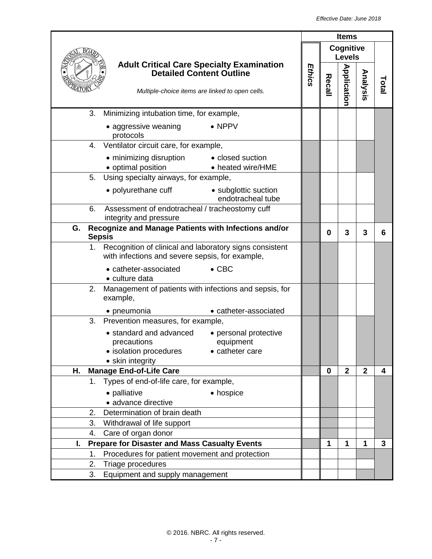|    |                                                                                                                                        | <b>Items</b> |              |                            |                |      |
|----|----------------------------------------------------------------------------------------------------------------------------------------|--------------|--------------|----------------------------|----------------|------|
|    |                                                                                                                                        |              |              | Cognitive<br><b>Levels</b> |                |      |
|    | <b>Adult Critical Care Specialty Examination</b><br><b>Detailed Content Outline</b><br>Multiple-choice items are linked to open cells. | Ethics       | Recall       | <b>Application</b>         | Analysis       | Tota |
|    | 3.<br>Minimizing intubation time, for example,                                                                                         |              |              |                            |                |      |
|    | $\bullet$ NPPV<br>• aggressive weaning<br>protocols                                                                                    |              |              |                            |                |      |
|    | Ventilator circuit care, for example,<br>4.                                                                                            |              |              |                            |                |      |
|    | • minimizing disruption • closed suction<br>• optimal position<br>• heated wire/HME                                                    |              |              |                            |                |      |
|    | Using specialty airways, for example,<br>5.                                                                                            |              |              |                            |                |      |
|    | • polyurethane cuff<br>• subglottic suction<br>endotracheal tube                                                                       |              |              |                            |                |      |
|    | Assessment of endotracheal / tracheostomy cuff<br>6.<br>integrity and pressure                                                         |              |              |                            |                |      |
|    | Recognize and Manage Patients with Infections and/or<br>G.<br>$\mathbf{3}$<br>3<br>0<br><b>Sepsis</b>                                  |              |              |                            | 6              |      |
|    | Recognition of clinical and laboratory signs consistent<br>1.<br>with infections and severe sepsis, for example,                       |              |              |                            |                |      |
|    | $\bullet$ CBC<br>• catheter-associated<br>• culture data                                                                               |              |              |                            |                |      |
|    | Management of patients with infections and sepsis, for<br>2.<br>example,                                                               |              |              |                            |                |      |
|    | • catheter-associated<br>• pneumonia                                                                                                   |              |              |                            |                |      |
|    | 3.<br>Prevention measures, for example,                                                                                                |              |              |                            |                |      |
|    | • standard and advanced<br>• personal protective<br>precautions<br>equipment<br>• isolation procedures<br>• catheter care              |              |              |                            |                |      |
| Η. | • skin integrity<br><b>Manage End-of-Life Care</b>                                                                                     |              | $\mathbf{0}$ | $\mathbf{2}$               | $\overline{2}$ | 4    |
|    | Types of end-of-life care, for example,<br>$1_{-}$                                                                                     |              |              |                            |                |      |
|    | • palliative<br>• hospice                                                                                                              |              |              |                            |                |      |
|    | · advance directive                                                                                                                    |              |              |                            |                |      |
|    | 2.<br>Determination of brain death                                                                                                     |              |              |                            |                |      |
|    | 3.<br>Withdrawal of life support                                                                                                       |              |              |                            |                |      |
|    | Care of organ donor<br>4.                                                                                                              |              |              |                            |                |      |
| I. | <b>Prepare for Disaster and Mass Casualty Events</b>                                                                                   |              | 1            | 1                          | 1              | 3    |
|    | Procedures for patient movement and protection<br>1.<br>2.<br>Triage procedures                                                        |              |              |                            |                |      |
|    | 3.<br>Equipment and supply management                                                                                                  |              |              |                            |                |      |
|    |                                                                                                                                        |              |              |                            |                |      |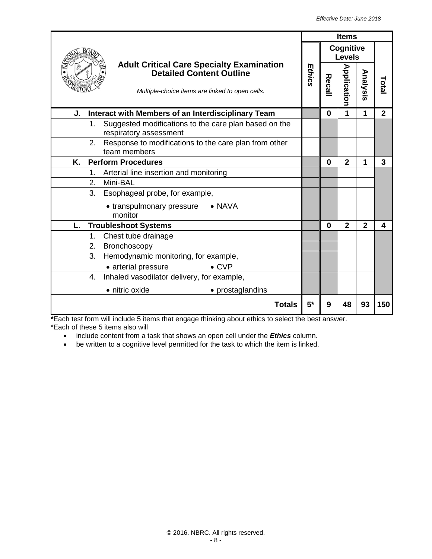|                                                                                                                                        |        |                            | <b>Items</b>   |              |                |
|----------------------------------------------------------------------------------------------------------------------------------------|--------|----------------------------|----------------|--------------|----------------|
|                                                                                                                                        |        | Cognitive<br><b>Levels</b> |                |              |                |
| <b>Adult Critical Care Specialty Examination</b><br><b>Detailed Content Outline</b><br>Multiple-choice items are linked to open cells. | Ethics | Recall                     | Application    | Analysis     | Total          |
| Interact with Members of an Interdisciplinary Team<br>J.                                                                               |        | $\bf{0}$                   | 1              | 1            | $\overline{2}$ |
| Suggested modifications to the care plan based on the<br>1.<br>respiratory assessment                                                  |        |                            |                |              |                |
| 2.<br>Response to modifications to the care plan from other<br>team members                                                            |        |                            |                |              |                |
| Κ.<br><b>Perform Procedures</b>                                                                                                        |        | $\Omega$                   | $\overline{2}$ | 1            | 3              |
| Arterial line insertion and monitoring<br>$1_{-}$                                                                                      |        |                            |                |              |                |
| 2.<br>Mini-BAL                                                                                                                         |        |                            |                |              |                |
| 3.<br>Esophageal probe, for example,                                                                                                   |        |                            |                |              |                |
| $\bullet$ NAVA<br>• transpulmonary pressure<br>monitor                                                                                 |        |                            |                |              |                |
| L.<br><b>Troubleshoot Systems</b>                                                                                                      |        | $\mathbf{0}$               | $\overline{2}$ | $\mathbf{2}$ | 4              |
| Chest tube drainage<br>1.                                                                                                              |        |                            |                |              |                |
| 2.<br><b>Bronchoscopy</b>                                                                                                              |        |                            |                |              |                |
| 3.<br>Hemodynamic monitoring, for example,                                                                                             |        |                            |                |              |                |
| $\bullet$ CVP<br>• arterial pressure                                                                                                   |        |                            |                |              |                |
| Inhaled vasodilator delivery, for example,<br>4.                                                                                       |        |                            |                |              |                |
| • nitric oxide<br>• prostaglandins                                                                                                     |        |                            |                |              |                |
| <b>Totals</b>                                                                                                                          | $5*$   | 9                          | 48             | 93           | 150            |

**\***Each test form will include 5 items that engage thinking about ethics to select the best answer. \*Each of these 5 items also will

- include content from a task that shows an open cell under the *Ethics* column.
- be written to a cognitive level permitted for the task to which the item is linked.